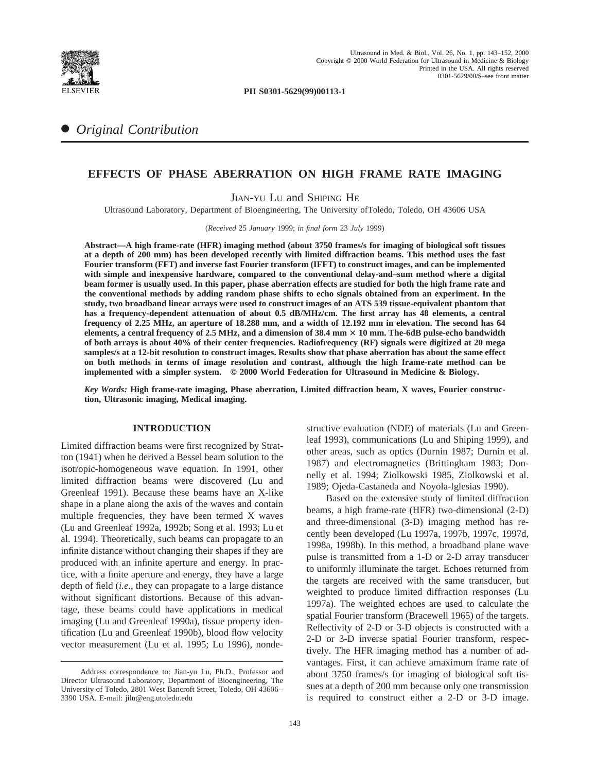

**PII S0301-5629(99)00113-1**

# ● *Original Contribution*

# **EFFECTS OF PHASE ABERRATION ON HIGH FRAME RATE IMAGING**

JIAN-YU LU and SHIPING HE

Ultrasound Laboratory, Department of Bioengineering, The University ofToledo, Toledo, OH 43606 USA

(*Received* 25 *January* 1999; *in final form* 23 *July* 1999)

**Abstract—A high frame-rate (HFR) imaging method (about 3750 frames/s for imaging of biological soft tissues at a depth of 200 mm) has been developed recently with limited diffraction beams. This method uses the fast Fourier transform (FFT) and inverse fast Fourier transform (IFFT) to construct images, and can be implemented with simple and inexpensive hardware, compared to the conventional delay-and–sum method where a digital beam former is usually used. In this paper, phase aberration effects are studied for both the high frame rate and the conventional methods by adding random phase shifts to echo signals obtained from an experiment. In the study, two broadband linear arrays were used to construct images of an ATS 539 tissue-equivalent phantom that has a frequency-dependent attenuation of about 0.5 dB/MHz/cm. The first array has 48 elements, a central frequency of 2.25 MHz, an aperture of 18.288 mm, and a width of 12.192 mm in elevation. The second has 64 elements, a central frequency of 2.5 MHz, and a dimension of 38.4 mm** 3 **10 mm. The-6dB pulse-echo bandwidth of both arrays is about 40% of their center frequencies. Radiofrequency (RF) signals were digitized at 20 mega samples/s at a 12-bit resolution to construct images. Results show that phase aberration has about the same effect on both methods in terms of image resolution and contrast, although the high frame-rate method can be implemented with a simpler system. © 2000 World Federation for Ultrasound in Medicine & Biology.**

*Key Words:* **High frame-rate imaging, Phase aberration, Limited diffraction beam, X waves, Fourier construction, Ultrasonic imaging, Medical imaging.**

## **INTRODUCTION**

Limited diffraction beams were first recognized by Stratton (1941) when he derived a Bessel beam solution to the isotropic-homogeneous wave equation. In 1991, other limited diffraction beams were discovered (Lu and Greenleaf 1991). Because these beams have an X-like shape in a plane along the axis of the waves and contain multiple frequencies, they have been termed X waves (Lu and Greenleaf 1992a, 1992b; Song et al. 1993; Lu et al. 1994). Theoretically, such beams can propagate to an infinite distance without changing their shapes if they are produced with an infinite aperture and energy. In practice, with a finite aperture and energy, they have a large depth of field (*i.e*., they can propagate to a large distance without significant distortions. Because of this advantage, these beams could have applications in medical imaging (Lu and Greenleaf 1990a), tissue property identification (Lu and Greenleaf 1990b), blood flow velocity vector measurement (Lu et al. 1995; Lu 1996), nondestructive evaluation (NDE) of materials (Lu and Greenleaf 1993), communications (Lu and Shiping 1999), and other areas, such as optics (Durnin 1987; Durnin et al. 1987) and electromagnetics (Brittingham 1983; Donnelly et al. 1994; Ziolkowski 1985, Ziolkowski et al. 1989; Ojeda-Castaneda and Noyola-lglesias 1990).

Based on the extensive study of limited diffraction beams, a high frame-rate (HFR) two-dimensional (2-D) and three-dimensional (3-D) imaging method has recently been developed (Lu 1997a, 1997b, 1997c, 1997d, 1998a, 1998b). In this method, a broadband plane wave pulse is transmitted from a 1-D or 2-D array transducer to uniformly illuminate the target. Echoes returned from the targets are received with the same transducer, but weighted to produce limited diffraction responses (Lu 1997a). The weighted echoes are used to calculate the spatial Fourier transform (Bracewell 1965) of the targets. Reflectivity of 2-D or 3-D objects is constructed with a 2-D or 3-D inverse spatial Fourier transform, respectively. The HFR imaging method has a number of advantages. First, it can achieve amaximum frame rate of about 3750 frames/s for imaging of biological soft tissues at a depth of 200 mm because only one transmission is required to construct either a 2-D or 3-D image.

Address correspondence to: Jian-yu Lu, Ph.D., Professor and Director Ultrasound Laboratory, Department of Bioengineering, The University of Toledo, 2801 West Bancroft Street, Toledo, OH 43606– 3390 USA. E-mail: jilu@eng.utoledo.edu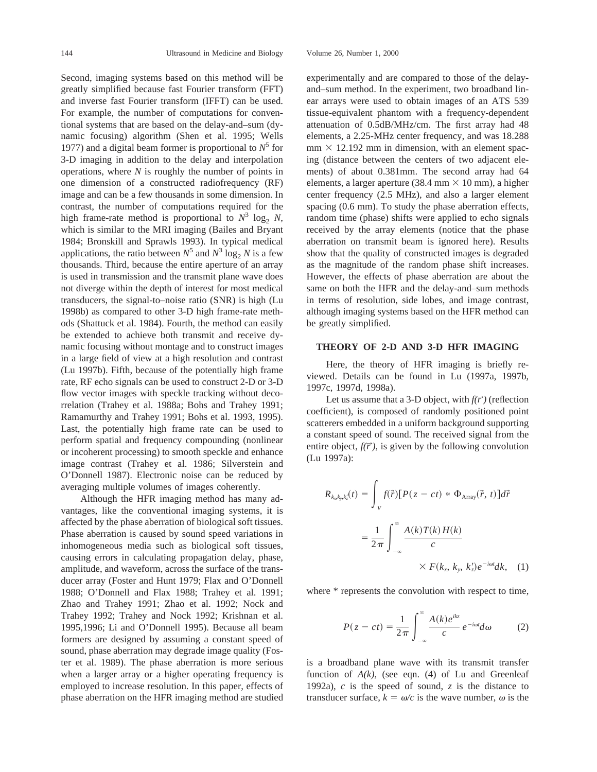Second, imaging systems based on this method will be greatly simplified because fast Fourier transform (FFT) and inverse fast Fourier transform (IFFT) can be used. For example, the number of computations for conventional systems that are based on the delay-and–sum (dynamic focusing) algorithm (Shen et al. 1995; Wells 1977) and a digital beam former is proportional to  $N^5$  for 3-D imaging in addition to the delay and interpolation operations, where *N* is roughly the number of points in one dimension of a constructed radiofrequency (RF) image and can be a few thousands in some dimension. In contrast, the number of computations required for the high frame-rate method is proportional to  $N^3$  log<sub>2</sub> *N*, which is similar to the MRI imaging (Bailes and Bryant 1984; Bronskill and Sprawls 1993). In typical medical applications, the ratio between  $N^5$  and  $N^3 \log_2 N$  is a few thousands. Third, because the entire aperture of an array is used in transmission and the transmit plane wave does not diverge within the depth of interest for most medical transducers, the signal-to–noise ratio (SNR) is high (Lu 1998b) as compared to other 3-D high frame-rate methods (Shattuck et al. 1984). Fourth, the method can easily be extended to achieve both transmit and receive dynamic focusing without montage and to construct images in a large field of view at a high resolution and contrast (Lu 1997b). Fifth, because of the potentially high frame rate, RF echo signals can be used to construct 2-D or 3-D flow vector images with speckle tracking without decorrelation (Trahey et al. 1988a; Bohs and Trahey 1991; Ramamurthy and Trahey 1991; Bohs et al. 1993, 1995). Last, the potentially high frame rate can be used to perform spatial and frequency compounding (nonlinear or incoherent processing) to smooth speckle and enhance image contrast (Trahey et al. 1986; Silverstein and O'Donnell 1987). Electronic noise can be reduced by averaging multiple volumes of images coherently.

Although the HFR imaging method has many advantages, like the conventional imaging systems, it is affected by the phase aberration of biological soft tissues. Phase aberration is caused by sound speed variations in inhomogeneous media such as biological soft tissues, causing errors in calculating propagation delay, phase, amplitude, and waveform, across the surface of the transducer array (Foster and Hunt 1979; Flax and O'Donnell 1988; O'Donnell and Flax 1988; Trahey et al. 1991; Zhao and Trahey 1991; Zhao et al. 1992; Nock and Trahey 1992; Trahey and Nock 1992; Krishnan et al. 1995,1996; Li and O'Donnell 1995). Because all beam formers are designed by assuming a constant speed of sound, phase aberration may degrade image quality (Foster et al. 1989). The phase aberration is more serious when a larger array or a higher operating frequency is employed to increase resolution. In this paper, effects of phase aberration on the HFR imaging method are studied

experimentally and are compared to those of the delayand–sum method. In the experiment, two broadband linear arrays were used to obtain images of an ATS 539 tissue-equivalent phantom with a frequency-dependent attenuation of 0.5dB/MHz/cm. The first array had 48 elements, a 2.25-MHz center frequency, and was 18.288  $mm \times 12.192$  mm in dimension, with an element spacing (distance between the centers of two adjacent elements) of about 0.381mm. The second array had 64 elements, a larger aperture (38.4 mm  $\times$  10 mm), a higher center frequency (2.5 MHz), and also a larger element spacing (0.6 mm). To study the phase aberration effects, random time (phase) shifts were applied to echo signals received by the array elements (notice that the phase aberration on transmit beam is ignored here). Results show that the quality of constructed images is degraded as the magnitude of the random phase shift increases. However, the effects of phase aberration are about the same on both the HFR and the delay-and–sum methods in terms of resolution, side lobes, and image contrast, although imaging systems based on the HFR method can be greatly simplified.

## **THEORY OF 2-D AND 3-D HFR IMAGING**

Here, the theory of HFR imaging is briefly reviewed. Details can be found in Lu (1997a, 1997b, 1997c, 1997d, 1998a).

Let us assume that a 3-D object, with  $f(\vec{r})$  (reflection coefficient), is composed of randomly positioned point scatterers embedded in a uniform background supporting a constant speed of sound. The received signal from the entire object,  $f(\vec{r})$ , is given by the following convolution (Lu 1997a):

$$
R_{k_{x},k_{y},k_{z}'}(t) = \int_{V} f(\vec{r}) [P(z-ct) * \Phi_{\text{Array}}(\vec{r}, t)] d\vec{r}
$$
  

$$
= \frac{1}{2\pi} \int_{-\infty}^{\infty} \frac{A(k)T(k)H(k)}{c}
$$
  

$$
\times F(k_{x}, k_{y}, k_{z}') e^{-i\omega t} dk, (1)
$$

where  $*$  represents the convolution with respect to time,

$$
P(z - ct) = \frac{1}{2\pi} \int_{-\infty}^{\infty} \frac{A(k)e^{ikz}}{c} e^{-i\omega t} d\omega \qquad (2)
$$

is a broadband plane wave with its transmit transfer function of  $A(k)$ , (see eqn. (4) of Lu and Greenleaf 1992a), *c* is the speed of sound, *z* is the distance to transducer surface,  $k = \omega/c$  is the wave number,  $\omega$  is the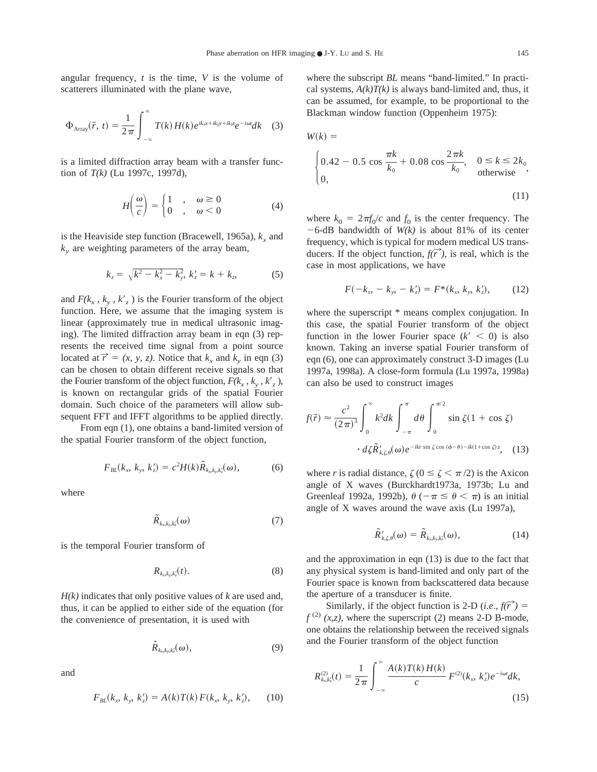angular frequency, *t* is the time, *V* is the volume of scatterers illuminated with the plane wave,

$$
\Phi_{\text{Array}}(\vec{r},\ t) = \frac{1}{2\pi} \int_{-\infty}^{\infty} T(k) H(k) e^{ik_x x + ik_y y + ik_z z} e^{-i\omega t} dk \quad (3)
$$

is a limited diffraction array beam with a transfer function of *T(k)* (Lu 1997c, 1997d),

$$
H\left(\frac{\omega}{c}\right) = \begin{cases} 1 & , \quad \omega \ge 0 \\ 0 & , \quad \omega < 0 \end{cases}
$$
 (4)

is the Heaviside step function (Bracewell, 1965a),  $k_x$  and  $k<sub>y</sub>$  are weighting parameters of the array beam,

$$
k_z = \sqrt{k^2 - k_x^2 - k_y^2}, \, k_z' = k + k_z, \tag{5}
$$

and  $F(k_x, k_y, k'_z)$  is the Fourier transform of the object function. Here, we assume that the imaging system is linear (approximately true in medical ultrasonic imaging). The limited diffraction array beam in eqn (3) represents the received time signal from a point source located at  $\vec{r} = (x, y, z)$ . Notice that  $k_x$  and  $k_y$  in eqn (3) can be chosen to obtain different receive signals so that the Fourier transform of the object function,  $F(k_x, k_y, k_z)$ , is known on rectangular grids of the spatial Fourier domain. Such choice of the parameters will allow subsequent FFT and IFFT algorithms to be applied directly.

From eqn (1), one obtains a band-limited version of the spatial Fourier transform of the object function,

$$
F_{BL}(k_x, k_y, k_z') = c^2 H(k) \tilde{R}_{k_x, k_y, k_z'}(\omega), \tag{6}
$$

where

$$
\tilde{R}_{k_{x},k_{y},k'_{z}}(\omega) \tag{7}
$$

is the temporal Fourier transform of

$$
R_{k_x,k_y,k_z'}(t). \tag{8}
$$

*H(k)* indicates that only positive values of *k* are used and, thus, it can be applied to either side of the equation (for the convenience of presentation, it is used with

$$
\tilde{R}_{k_x,k_y,k_z'}(\omega),\tag{9}
$$

and

$$
F_{BL}(k_x, k_y, k_z') = A(k)T(k) F(k_x, k_y, k_z'), \quad (10)
$$

where the subscript *BL* means "band-limited." In practical systems,  $A(k)T(k)$  is always band-limited and, thus, it can be assumed, for example, to be proportional to the Blackman window function (Oppenheim 1975):

$$
W(k) =
$$
\n
$$
\begin{cases}\n0.42 - 0.5 \cos \frac{\pi k}{k_0} + 0.08 \cos \frac{2\pi k}{k_0}, & 0 \le k \le 2k_0 \\
0, & \text{otherwise}\n\end{cases}
$$
\n(11)

where  $k_0 = 2\pi f_0/c$  and  $f_0$  is the center frequency. The  $-6$ -dB bandwidth of *W(k)* is about 81% of its center frequency, which is typical for modern medical US transducers. If the object function,  $f(\vec{r})$ , is real, which is the case in most applications, we have

$$
F(-k_x, -k_y, -k_z') = F^*(k_x, k_y, k_z'), \qquad (12)
$$

where the superscript  $*$  means complex conjugation. In this case, the spatial Fourier transform of the object function in the lower Fourier space  $(k' < 0)$  is also known. Taking an inverse spatial Fourier transform of eqn (6), one can approximately construct 3-D images (Lu 1997a, 1998a). A close-form formula (Lu 1997a, 1998a) can also be used to construct images

$$
f(\vec{r}) \approx \frac{c^2}{(2\pi)^3} \int_0^\infty k^2 dk \int_{-\pi}^{\pi} d\theta \int_0^{\pi/2} \sin \zeta (1 + \cos \zeta)
$$

$$
\cdot d\zeta \tilde{R}_{k,\zeta,\theta}(\omega) e^{-ikr \sin \zeta \cos (\phi - \theta) - ik(1 + \cos \zeta) z}, \quad (13)
$$

where *r* is radial distance,  $\zeta$  ( $0 \le \zeta \le \pi/2$ ) is the Axicon angle of X waves (Burckhardt1973a, 1973b; Lu and Greenleaf 1992a, 1992b),  $\theta$  ( $-\pi \le \theta < \pi$ ) is an initial angle of X waves around the wave axis (Lu 1997a),

$$
\tilde{R}_{k,\zeta,\theta}^{\prime}(\omega) = \tilde{R}_{k_{x},k_{y},k_{z}^{\prime}}(\omega), \qquad (14)
$$

and the approximation in eqn (13) is due to the fact that any physical system is band-limited and only part of the Fourier space is known from backscattered data because the aperture of a transducer is finite.

Similarly, if the object function is 2-D (*i.e.*,  $f(\vec{r})$ ) =  $f^{(2)}(x,z)$ , where the superscript (2) means 2-D B-mode, one obtains the relationship between the received signals and the Fourier transform of the object function

$$
R_{k_x,k_z'}^{(2)}(t) = \frac{1}{2\pi} \int_{-\infty}^{\infty} \frac{A(k)T(k)H(k)}{c} F^{(2)}(k_x, k_z') e^{-i\omega t} dk,
$$
\n(15)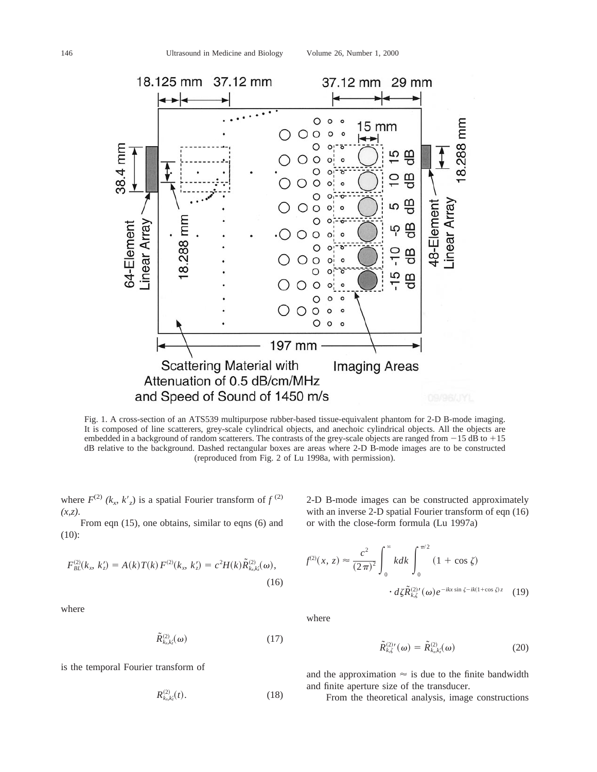

Fig. 1. A cross-section of an ATS539 multipurpose rubber-based tissue-equivalent phantom for 2-D B-mode imaging. It is composed of line scatterers, grey-scale cylindrical objects, and anechoic cylindrical objects. All the objects are embedded in a background of random scatterers. The contrasts of the grey-scale objects are ranged from  $-15$  dB to  $+15$ dB relative to the background. Dashed rectangular boxes are areas where 2-D B-mode images are to be constructed (reproduced from Fig. 2 of Lu 1998a, with permission).

where  $F^{(2)}(k_r, k'_r)$  is a spatial Fourier transform of  $f^{(2)}$ *(x,z)*.

From eqn (15), one obtains, similar to eqns (6) and (10):

$$
F_{BL}^{(2)}(k_x, k_z') = A(k)T(k) F^{(2)}(k_x, k_z') = c^2 H(k) \tilde{R}_{k_x k_z'}^{(2)}(\omega),
$$
\n(16)

where

$$
\tilde{R}_{k_n,k'_2}^{(2)}(\omega) \tag{17}
$$

is the temporal Fourier transform of

$$
R^{(2)}_{k_x,k'_z}(t). \t\t(18)
$$

2-D B-mode images can be constructed approximately with an inverse 2-D spatial Fourier transform of eqn (16) or with the close-form formula (Lu 1997a)

$$
f^{(2)}(x, z) \approx \frac{c^2}{(2\pi)^2} \int_0^\infty k dk \int_0^{\pi/2} (1 + \cos \zeta)
$$

$$
\cdot d\zeta \tilde{R}_{k,\zeta}^{(2)'}(\omega) e^{-ikx \sin \zeta - ik(1 + \cos \zeta)z} \quad (19)
$$

where

$$
\tilde{R}_{k,\zeta}^{(2)\prime}(\omega) = \tilde{R}_{k_{x},k_{z}}^{(2)}(\omega) \tag{20}
$$

and the approximation  $\approx$  is due to the finite bandwidth and finite aperture size of the transducer.

From the theoretical analysis, image constructions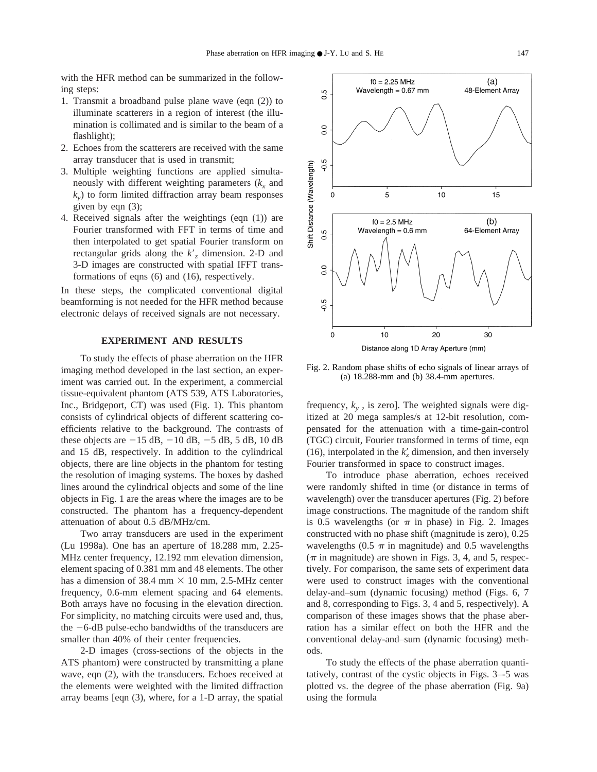with the HFR method can be summarized in the following steps:

- 1. Transmit a broadband pulse plane wave (eqn (2)) to illuminate scatterers in a region of interest (the illumination is collimated and is similar to the beam of a flashlight);
- 2. Echoes from the scatterers are received with the same array transducer that is used in transmit;
- 3. Multiple weighting functions are applied simultaneously with different weighting parameters  $(k<sub>x</sub>$  and  $k<sub>v</sub>$ ) to form limited diffraction array beam responses given by eqn (3);
- 4. Received signals after the weightings (eqn (1)) are Fourier transformed with FFT in terms of time and then interpolated to get spatial Fourier transform on rectangular grids along the  $k'$ , dimension. 2-D and 3-D images are constructed with spatial IFFT transformations of eqns (6) and (16), respectively.

In these steps, the complicated conventional digital beamforming is not needed for the HFR method because electronic delays of received signals are not necessary.

### **EXPERIMENT AND RESULTS**

To study the effects of phase aberration on the HFR imaging method developed in the last section, an experiment was carried out. In the experiment, a commercial tissue-equivalent phantom (ATS 539, ATS Laboratories, Inc., Bridgeport, CT) was used (Fig. 1). This phantom consists of cylindrical objects of different scattering coefficients relative to the background. The contrasts of these objects are  $-15$  dB,  $-10$  dB,  $-5$  dB, 5 dB, 10 dB and 15 dB, respectively. In addition to the cylindrical objects, there are line objects in the phantom for testing the resolution of imaging systems. The boxes by dashed lines around the cylindrical objects and some of the line objects in Fig. 1 are the areas where the images are to be constructed. The phantom has a frequency-dependent attenuation of about 0.5 dB/MHz/cm.

Two array transducers are used in the experiment (Lu 1998a). One has an aperture of 18.288 mm, 2.25- MHz center frequency, 12.192 mm elevation dimension, element spacing of 0.381 mm and 48 elements. The other has a dimension of 38.4 mm  $\times$  10 mm, 2.5-MHz center frequency, 0.6-mm element spacing and 64 elements. Both arrays have no focusing in the elevation direction. For simplicity, no matching circuits were used and, thus, the  $-6$ -dB pulse-echo bandwidths of the transducers are smaller than 40% of their center frequencies.

2-D images (cross-sections of the objects in the ATS phantom) were constructed by transmitting a plane wave, eqn (2), with the transducers. Echoes received at the elements were weighted with the limited diffraction array beams [eqn (3), where, for a 1-D array, the spatial



Fig. 2. Random phase shifts of echo signals of linear arrays of (a) 18.288-mm and (b) 38.4-mm apertures.

frequency,  $k_{y}$ , is zero]. The weighted signals were digitized at 20 mega samples/s at 12-bit resolution, compensated for the attenuation with a time-gain-control (TGC) circuit, Fourier transformed in terms of time, eqn (16), interpolated in the  $k'_z$  dimension, and then inversely Fourier transformed in space to construct images.

To introduce phase aberration, echoes received were randomly shifted in time (or distance in terms of wavelength) over the transducer apertures (Fig. 2) before image constructions. The magnitude of the random shift is 0.5 wavelengths (or  $\pi$  in phase) in Fig. 2. Images constructed with no phase shift (magnitude is zero), 0.25 wavelengths (0.5  $\pi$  in magnitude) and 0.5 wavelengths  $(\pi$  in magnitude) are shown in Figs. 3, 4, and 5, respectively. For comparison, the same sets of experiment data were used to construct images with the conventional delay-and–sum (dynamic focusing) method (Figs. 6, 7 and 8, corresponding to Figs. 3, 4 and 5, respectively). A comparison of these images shows that the phase aberration has a similar effect on both the HFR and the conventional delay-and–sum (dynamic focusing) methods.

To study the effects of the phase aberration quantitatively, contrast of the cystic objects in Figs. 3–-5 was plotted vs. the degree of the phase aberration (Fig. 9a) using the formula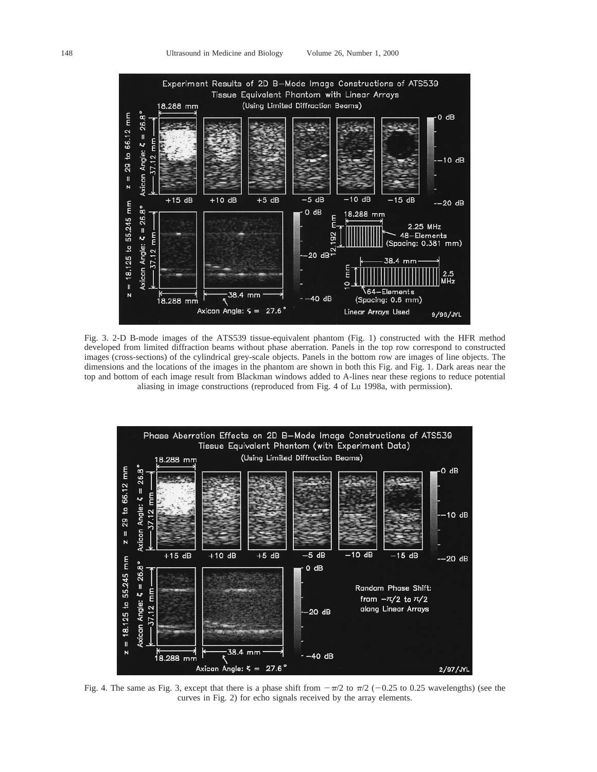

Fig. 3. 2-D B-mode images of the ATS539 tissue-equivalent phantom (Fig. 1) constructed with the HFR method developed from limited diffraction beams without phase aberration. Panels in the top row correspond to constructed images (cross-sections) of the cylindrical grey-scale objects. Panels in the bottom row are images of line objects. The dimensions and the locations of the images in the phantom are shown in both this Fig. and Fig. 1. Dark areas near the top and bottom of each image result from Blackman windows added to A-lines near these regions to reduce potential aliasing in image constructions (reproduced from Fig. 4 of Lu 1998a, with permission).



Fig. 4. The same as Fig. 3, except that there is a phase shift from  $-\pi/2$  to  $\pi/2$  (-0.25 to 0.25 wavelengths) (see the curves in Fig. 2) for echo signals received by the array elements.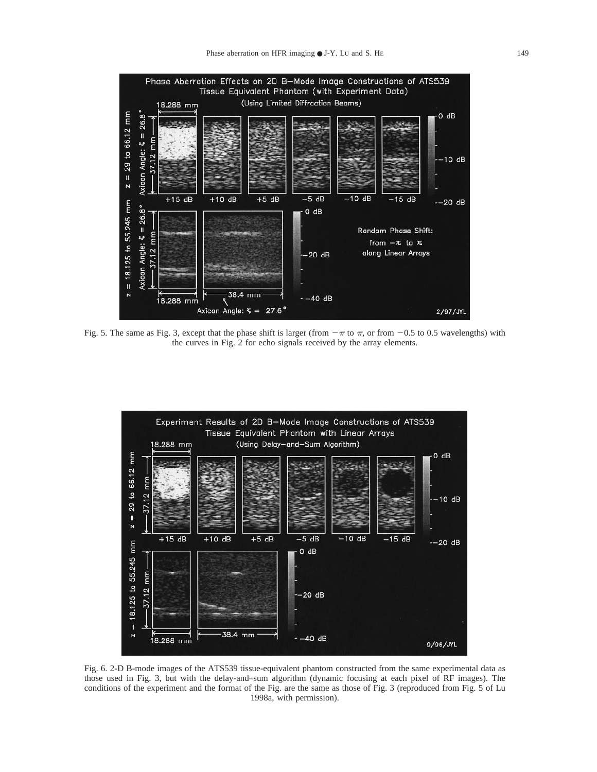

Fig. 5. The same as Fig. 3, except that the phase shift is larger (from  $-\pi$  to  $\pi$ , or from  $-0.5$  to 0.5 wavelengths) with the curves in Fig. 2 for echo signals received by the array elements.



Fig. 6. 2-D B-mode images of the ATS539 tissue-equivalent phantom constructed from the same experimental data as those used in Fig. 3, but with the delay-and–sum algorithm (dynamic focusing at each pixel of RF images). The conditions of the experiment and the format of the Fig. are the same as those of Fig. 3 (reproduced from Fig. 5 of Lu 1998a, with permission).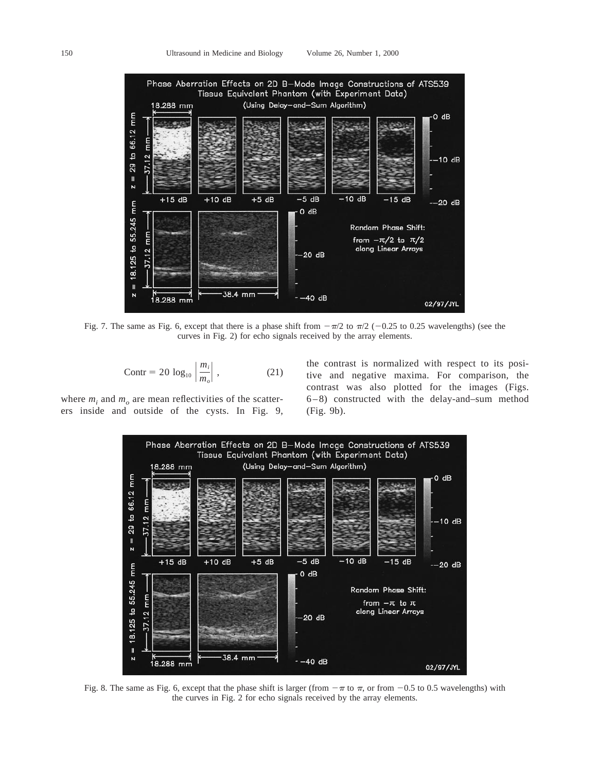

Fig. 7. The same as Fig. 6, except that there is a phase shift from  $-\pi/2$  to  $\pi/2$  (-0.25 to 0.25 wavelengths) (see the curves in Fig. 2) for echo signals received by the array elements.

$$
\text{Contr} = 20 \, \log_{10} \left| \frac{m_i}{m_o} \right| \,, \tag{21}
$$

where  $m_i$  and  $m_o$  are mean reflectivities of the scatterers inside and outside of the cysts. In Fig. 9, the contrast is normalized with respect to its positive and negative maxima. For comparison, the contrast was also plotted for the images (Figs. 6–8) constructed with the delay-and–sum method (Fig. 9b).



Fig. 8. The same as Fig. 6, except that the phase shift is larger (from  $-\pi$  to  $\pi$ , or from  $-0.5$  to 0.5 wavelengths) with the curves in Fig. 2 for echo signals received by the array elements.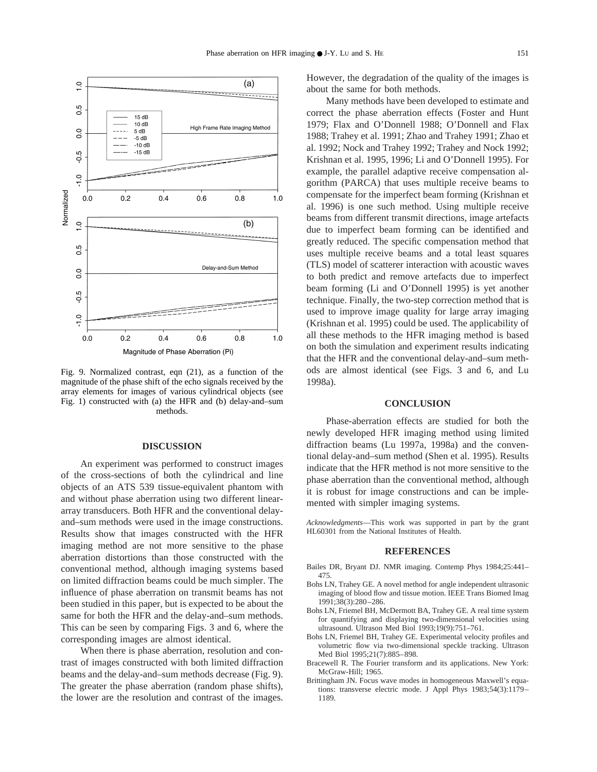

Fig. 9. Normalized contrast, eqn (21), as a function of the magnitude of the phase shift of the echo signals received by the array elements for images of various cylindrical objects (see Fig. 1) constructed with (a) the HFR and (b) delay-and–sum methods.

## **DISCUSSION**

An experiment was performed to construct images of the cross-sections of both the cylindrical and line objects of an ATS 539 tissue-equivalent phantom with and without phase aberration using two different lineararray transducers. Both HFR and the conventional delayand–sum methods were used in the image constructions. Results show that images constructed with the HFR imaging method are not more sensitive to the phase aberration distortions than those constructed with the conventional method, although imaging systems based on limited diffraction beams could be much simpler. The influence of phase aberration on transmit beams has not been studied in this paper, but is expected to be about the same for both the HFR and the delay-and–sum methods. This can be seen by comparing Figs. 3 and 6, where the corresponding images are almost identical.

When there is phase aberration, resolution and contrast of images constructed with both limited diffraction beams and the delay-and–sum methods decrease (Fig. 9). The greater the phase aberration (random phase shifts), the lower are the resolution and contrast of the images. However, the degradation of the quality of the images is about the same for both methods.

Many methods have been developed to estimate and correct the phase aberration effects (Foster and Hunt 1979; Flax and O'Donnell 1988; O'Donnell and Flax 1988; Trahey et al. 1991; Zhao and Trahey 1991; Zhao et al. 1992; Nock and Trahey 1992; Trahey and Nock 1992; Krishnan et al. 1995, 1996; Li and O'Donnell 1995). For example, the parallel adaptive receive compensation algorithm (PARCA) that uses multiple receive beams to compensate for the imperfect beam forming (Krishnan et al. 1996) is one such method. Using multiple receive beams from different transmit directions, image artefacts due to imperfect beam forming can be identified and greatly reduced. The specific compensation method that uses multiple receive beams and a total least squares (TLS) model of scatterer interaction with acoustic waves to both predict and remove artefacts due to imperfect beam forming (Li and O'Donnell 1995) is yet another technique. Finally, the two-step correction method that is used to improve image quality for large array imaging (Krishnan et al. 1995) could be used. The applicability of all these methods to the HFR imaging method is based on both the simulation and experiment results indicating that the HFR and the conventional delay-and–sum methods are almost identical (see Figs. 3 and 6, and Lu 1998a).

### **CONCLUSION**

Phase-aberration effects are studied for both the newly developed HFR imaging method using limited diffraction beams (Lu 1997a, 1998a) and the conventional delay-and–sum method (Shen et al. 1995). Results indicate that the HFR method is not more sensitive to the phase aberration than the conventional method, although it is robust for image constructions and can be implemented with simpler imaging systems.

*Acknowledgments*—This work was supported in part by the grant HL60301 from the National Institutes of Health.

### **REFERENCES**

- Bailes DR, Bryant DJ. NMR imaging. Contemp Phys 1984;25:441– 475.
- Bohs LN, Trahey GE. A novel method for angle independent ultrasonic imaging of blood flow and tissue motion. IEEE Trans Biomed Imag 1991;38(3):280–286.
- Bohs LN, Friemel BH, McDermott BA, Trahey GE. A real time system for quantifying and displaying two-dimensional velocities using ultrasound. Ultrason Med Biol 1993;19(9):751–761.
- Bohs LN, Friemel BH, Trahey GE. Experimental velocity profiles and volumetric flow via two-dimensional speckle tracking. Ultrason Med Biol 1995;21(7):885–898.
- Bracewell R. The Fourier transform and its applications. New York: McGraw-Hill; 1965.
- Brittingham JN. Focus wave modes in homogeneous Maxwell's equations: transverse electric mode. J Appl Phys 1983;54(3):1179– 1189.